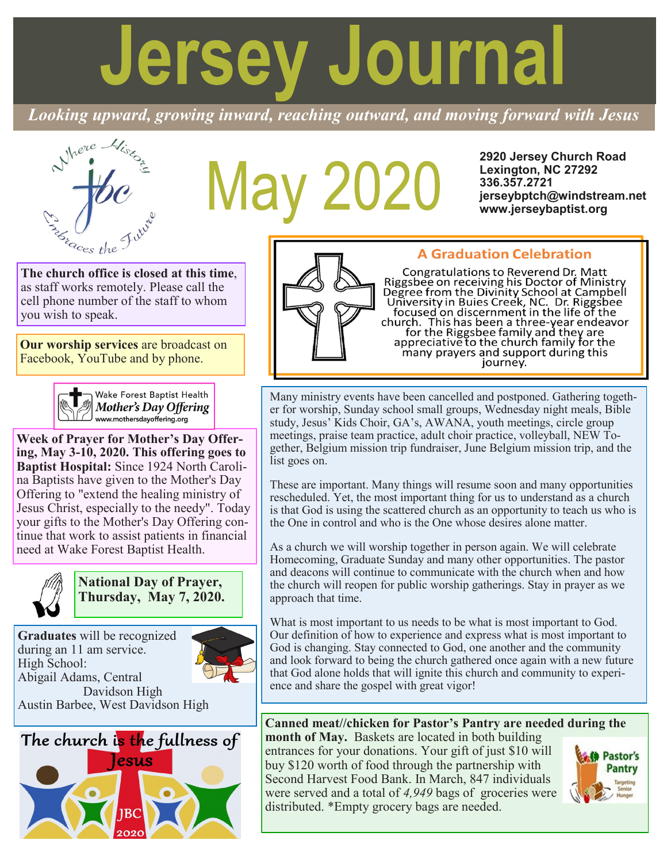# **Jersey Journal**

*Looking upward, growing inward, reaching outward, and moving forward with Jesus*



# May 2020

**2920 Jersey Church Road Lexington, NC 27292 336.357.2721 jerseybptch@windstream.net www.jerseybaptist.org**

**The church office is closed at this time**, as staff works remotely. Please call the cell phone number of the staff to whom you wish to speak.

**Our worship services** are broadcast on Facebook, YouTube and by phone.



**Week of Prayer for Mother's Day Offering, May 3-10, 2020. This offering goes to Baptist Hospital:** Since 1924 North Carolina Baptists have given to the Mother's Day Offering to "extend the healing ministry of Jesus Christ, especially to the needy". Today your gifts to the Mother's Day Offering continue that work to assist patients in financial need at Wake Forest Baptist Health.



**National Day of Prayer, Thursday, May 7, 2020.**

**Graduates** will be recognized during an 11 am service. High School: Abigail Adams, Central Davidson High Austin Barbee, West Davidson High



# **A Graduation Celebration**

Congratulations to Reverend Dr. Matt Riggsbee on receiving his Doctor of Ministry<br>Degree from the Divinity School at Campbell<br>University in Buies Creek, NC. Dr. Riggsbee<br>focused on discernment in the life of the church. This has been a three-year endeavor<br>for the Riggsbee family and they are<br>appreciative to the church family for the<br>many prayers and support during this journey.

Many ministry events have been cancelled and postponed. Gathering together for worship, Sunday school small groups, Wednesday night meals, Bible study, Jesus' Kids Choir, GA's, AWANA, youth meetings, circle group meetings, praise team practice, adult choir practice, volleyball, NEW Together, Belgium mission trip fundraiser, June Belgium mission trip, and the list goes on.

These are important. Many things will resume soon and many opportunities rescheduled. Yet, the most important thing for us to understand as a church is that God is using the scattered church as an opportunity to teach us who is the One in control and who is the One whose desires alone matter.

As a church we will worship together in person again. We will celebrate Homecoming, Graduate Sunday and many other opportunities. The pastor and deacons will continue to communicate with the church when and how the church will reopen for public worship gatherings. Stay in prayer as we approach that time.

What is most important to us needs to be what is most important to God. Our definition of how to experience and express what is most important to God is changing. Stay connected to God, one another and the community and look forward to being the church gathered once again with a new future that God alone holds that will ignite this church and community to experience and share the gospel with great vigor!

# **Canned meat//chicken for Pastor's Pantry are needed during the**

**month of May.** Baskets are located in both building entrances for your donations. Your gift of just \$10 will buy \$120 worth of food through the partnership with Second Harvest Food Bank. In March, 847 individuals were served and a total of *4,949* bags of groceries were distributed. \*Empty grocery bags are needed.

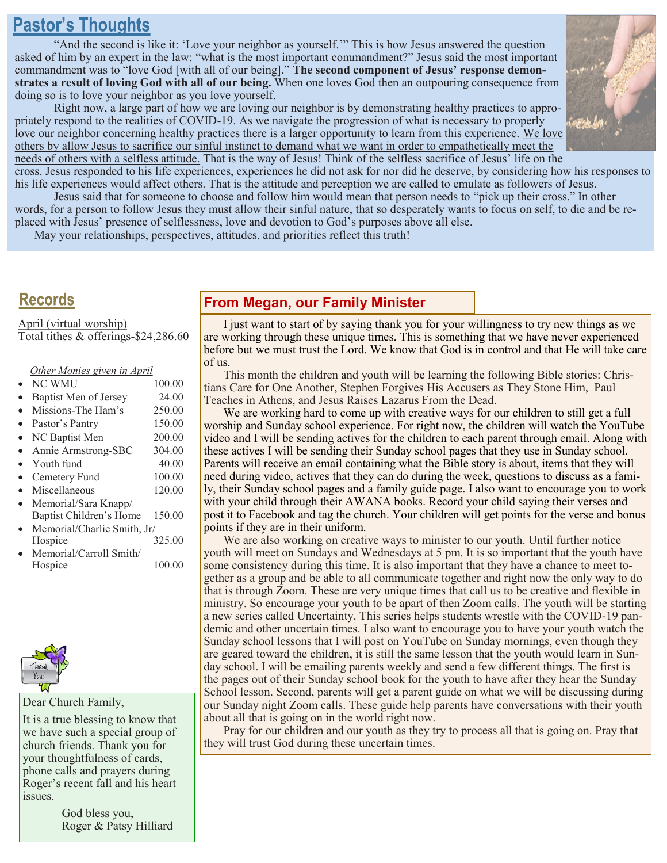# **Pastor's Thoughts**

"And the second is like it: 'Love your neighbor as yourself.'" This is how Jesus answered the question asked of him by an expert in the law: "what is the most important commandment?" Jesus said the most important commandment was to "love God [with all of our being]." **The second component of Jesus' response demonstrates a result of loving God with all of our being.** When one loves God then an outpouring consequence from doing so is to love your neighbor as you love yourself.

Right now, a large part of how we are loving our neighbor is by demonstrating healthy practices to appropriately respond to the realities of COVID-19. As we navigate the progression of what is necessary to properly love our neighbor concerning healthy practices there is a larger opportunity to learn from this experience. We love others by allow Jesus to sacrifice our sinful instinct to demand what we want in order to empathetically meet the needs of others with a selfless attitude. That is the way of Jesus! Think of the selfless sacrifice of Jesus' life on the



cross. Jesus responded to his life experiences, experiences he did not ask for nor did he deserve, by considering how his responses to his life experiences would affect others. That is the attitude and perception we are called to emulate as followers of Jesus.

Jesus said that for someone to choose and follow him would mean that person needs to "pick up their cross." In other words, for a person to follow Jesus they must allow their sinful nature, that so desperately wants to focus on self, to die and be replaced with Jesus' presence of selflessness, love and devotion to God's purposes above all else.

May your relationships, perspectives, attitudes, and priorities reflect this truth!

# **Records**

April (virtual worship) Total tithes & offerings-\$24,286.60

| Other Monies given in April |        |
|-----------------------------|--------|
| <b>NC WMU</b>               | 100.00 |
| Baptist Men of Jersey       | 24.00  |
| Missions-The Ham's          | 250.00 |
| Pastor's Pantry             | 150.00 |
| NC Baptist Men              | 200.00 |
| Annie Armstrong-SBC         | 304.00 |
| Youth fund                  | 40.00  |
| Cemetery Fund               | 100.00 |
| Miscellaneous               | 120.00 |
| Memorial/Sara Knapp/        |        |
| Baptist Children's Home     | 150.00 |
| Memorial/Charlie Smith, Jr/ |        |
| Hospice                     | 325.00 |
| Memorial/Carroll Smith/     |        |
| Hospice                     | 100.00 |
|                             |        |



#### Dear Church Family,

It is a true blessing to know that we have such a special group of church friends. Thank you for your thoughtfulness of cards, phone calls and prayers during Roger's recent fall and his heart issues.

> God bless you, Roger & Patsy Hilliard

# **From Megan, our Family Minister**

I just want to start of by saying thank you for your willingness to try new things as we are working through these unique times. This is something that we have never experienced before but we must trust the Lord. We know that God is in control and that He will take care of us.

This month the children and youth will be learning the following Bible stories: Christians Care for One Another, Stephen Forgives His Accusers as They Stone Him, Paul Teaches in Athens, and Jesus Raises Lazarus From the Dead.

We are working hard to come up with creative ways for our children to still get a full worship and Sunday school experience. For right now, the children will watch the YouTube video and I will be sending actives for the children to each parent through email. Along with these actives I will be sending their Sunday school pages that they use in Sunday school. Parents will receive an email containing what the Bible story is about, items that they will need during video, actives that they can do during the week, questions to discuss as a family, their Sunday school pages and a family guide page. I also want to encourage you to work with your child through their AWANA books. Record your child saying their verses and post it to Facebook and tag the church. Your children will get points for the verse and bonus points if they are in their uniform.

We are also working on creative ways to minister to our youth. Until further notice youth will meet on Sundays and Wednesdays at 5 pm. It is so important that the youth have some consistency during this time. It is also important that they have a chance to meet together as a group and be able to all communicate together and right now the only way to do that is through Zoom. These are very unique times that call us to be creative and flexible in ministry. So encourage your youth to be apart of then Zoom calls. The youth will be starting a new series called Uncertainty. This series helps students wrestle with the COVID-19 pandemic and other uncertain times. I also want to encourage you to have your youth watch the Sunday school lessons that I will post on YouTube on Sunday mornings, even though they are geared toward the children, it is still the same lesson that the youth would learn in Sunday school. I will be emailing parents weekly and send a few different things. The first is the pages out of their Sunday school book for the youth to have after they hear the Sunday School lesson. Second, parents will get a parent guide on what we will be discussing during our Sunday night Zoom calls. These guide help parents have conversations with their youth about all that is going on in the world right now.

Pray for our children and our youth as they try to process all that is going on. Pray that they will trust God during these uncertain times.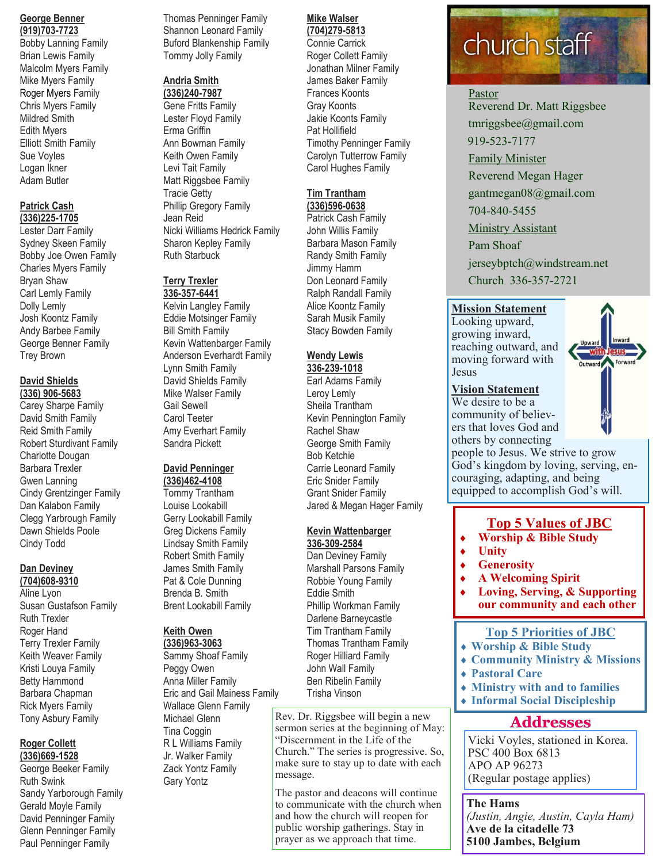#### **George Benner (919)703-7723**

Bobby Lanning Family Brian Lewis Family Malcolm Myers Family Mike Myers Family Roger Myers Family Chris Myers Family Mildred Smith Edith Myers Elliott Smith Family Sue Voyles Logan Ikner Adam Butler

#### **Patrick Cash**

**(336)225-1705**

Lester Darr Family Sydney Skeen Family Bobby Joe Owen Family Charles Myers Family Bryan Shaw Carl Lemly Family Dolly Lemly Josh Koontz Family Andy Barbee Family George Benner Family Trey Brown

#### **David Shields (336) 906-5683**

Carey Sharpe Family David Smith Family Reid Smith Family Robert Sturdivant Family Charlotte Dougan Barbara Trexler Gwen Lanning Cindy Grentzinger Family Dan Kalabon Family Clegg Yarbrough Family Dawn Shields Poole Cindy Todd

#### **Dan Deviney (704)608-9310**

Aline Lyon Susan Gustafson Family Ruth Trexler Roger Hand Terry Trexler Family Keith Weaver Family Kristi Louya Family Betty Hammond Barbara Chapman Rick Myers Family Tony Asbury Family

#### **Roger Collett (336)669-1528**

George Beeker Family Ruth Swink Sandy Yarborough Family Gerald Moyle Family David Penninger Family Glenn Penninger Family Paul Penninger Family

Thomas Penninger Family Shannon Leonard Family Buford Blankenship Family Tommy Jolly Family

#### **Andria Smith**

**(336)240-7987** Gene Fritts Family Lester Floyd Family Erma Griffin Ann Bowman Family Keith Owen Family Levi Tait Family Matt Riggsbee Family Tracie Getty Phillip Gregory Family Jean Reid Nicki Williams Hedrick Family Sharon Kepley Family Ruth Starbuck

#### **Terry Trexler 336-357-6441**

Kelvin Langley Family Eddie Motsinger Family Bill Smith Family Kevin Wattenbarger Family Anderson Everhardt Family Lynn Smith Family David Shields Family Mike Walser Family Gail Sewell Carol Teeter Amy Everhart Family Sandra Pickett

# **David Penninger**

**(336)462-4108** Tommy Trantham Louise Lookabill Gerry Lookabill Family Greg Dickens Family Lindsay Smith Family Robert Smith Family James Smith Family Pat & Cole Dunning Brenda B. Smith Brent Lookabill Family

## **Keith Owen**

**(336)963-3063** Sammy Shoaf Family Peggy Owen Anna Miller Family Eric and Gail Mainess Family Wallace Glenn Family Michael Glenn Tina Coggin R L Williams Family Jr. Walker Family Zack Yontz Family Gary Yontz

#### **Mike Walser (704)279-5813**

Connie Carrick Roger Collett Family Jonathan Milner Family James Baker Family Frances Koonts Gray Koonts Jakie Koonts Family Pat Hollifield Timothy Penninger Family Carolyn Tutterrow Family Carol Hughes Family

#### **Tim Trantham (336)596-0638**

Patrick Cash Family John Willis Family Barbara Mason Family Randy Smith Family Jimmy Hamm Don Leonard Family Ralph Randall Family Alice Koontz Family Sarah Musik Family Stacy Bowden Family

# **Wendy Lewis**

**336-239-1018** Earl Adams Family Leroy Lemly Sheila Trantham Kevin Pennington Family Rachel Shaw George Smith Family Bob Ketchie Carrie Leonard Family Eric Snider Family Grant Snider Family Jared & Megan Hager Family

## **Kevin Wattenbarger**

**336-309-2584** Dan Deviney Family Marshall Parsons Family Robbie Young Family Eddie Smith Phillip Workman Family Darlene Barneycastle Tim Trantham Family Thomas Trantham Family Roger Hilliard Family John Wall Family Ben Ribelin Family Trisha Vinson

Rev. Dr. Riggsbee will begin a new sermon series at the beginning of May: "Discernment in the Life of the Church." The series is progressive. So, make sure to stay up to date with each message.

The pastor and deacons will continue to communicate with the church when and how the church will reopen for public worship gatherings. Stay in prayer as we approach that time.

# church staff

# Pastor

Reverend Dr. Matt Riggsbee tmriggsbee@gmail.com 919-523-7177 Family Minister Reverend Megan Hager

gantmegan08@gmail.com

704-840-5455

**Ministry Assistant** 

Pam Shoaf jerseybptch@windstream.net Church 336-357-2721

# **Mission Statement**

Looking upward, growing inward, reaching outward, and moving forward with Jesus

### **Vision Statement**

We desire to be a community of believers that loves God and others by connecting



# couraging, adapting, and being equipped to accomplish God's will.

# **Top 5 Values of JBC**

**Worship & Bible Study**

people to Jesus. We strive to grow God's kingdom by loving, serving, en-

- **Unity**
- **Generosity**
- **A Welcoming Spirit**
- **Loving, Serving, & Supporting our community and each other**

# **Top 5 Priorities of JBC**

- **Worship & Bible Study**
- **Community Ministry & Missions**
- **Pastoral Care**
- **Ministry with and to families**
- **Informal Social Discipleship**

# **Addresses**

Vicki Voyles, stationed in Korea. PSC 400 Box 6813 APO AP 96273 (Regular postage applies)

**The Hams** *(Justin, Angie, Austin, Cayla Ham)* **Ave de la citadelle 73 5100 Jambes, Belgium**